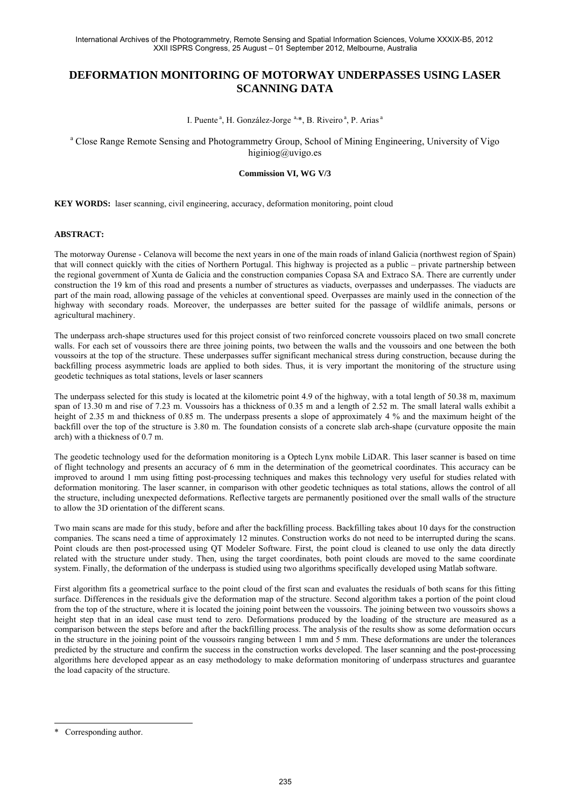# **DEFORMATION MONITORING OF MOTORWAY UNDERPASSES USING LASER SCANNING DATA**

I. Puente<sup>a</sup>, H. González-Jorge<sup>a,\*</sup>, B. Riveiro<sup>a</sup>, P. Arias<sup>a</sup>

<sup>a</sup> Close Range Remote Sensing and Photogrammetry Group, School of Mining Engineering, University of Vigo higiniog@uvigo.es

## **Commission VI, WG V/3**

**KEY WORDS:** laser scanning, civil engineering, accuracy, deformation monitoring, point cloud

#### **ABSTRACT:**

The motorway Ourense - Celanova will become the next years in one of the main roads of inland Galicia (northwest region of Spain) that will connect quickly with the cities of Northern Portugal. This highway is projected as a public – private partnership between the regional government of Xunta de Galicia and the construction companies Copasa SA and Extraco SA. There are currently under construction the 19 km of this road and presents a number of structures as viaducts, overpasses and underpasses. The viaducts are part of the main road, allowing passage of the vehicles at conventional speed. Overpasses are mainly used in the connection of the highway with secondary roads. Moreover, the underpasses are better suited for the passage of wildlife animals, persons or agricultural machinery.

The underpass arch-shape structures used for this project consist of two reinforced concrete voussoirs placed on two small concrete walls. For each set of voussoirs there are three joining points, two between the walls and the voussoirs and one between the both voussoirs at the top of the structure. These underpasses suffer significant mechanical stress during construction, because during the backfilling process asymmetric loads are applied to both sides. Thus, it is very important the monitoring of the structure using geodetic techniques as total stations, levels or laser scanners

The underpass selected for this study is located at the kilometric point 4.9 of the highway, with a total length of 50.38 m, maximum span of 13.30 m and rise of 7.23 m. Voussoirs has a thickness of 0.35 m and a length of 2.52 m. The small lateral walls exhibit a height of 2.35 m and thickness of 0.85 m. The underpass presents a slope of approximately 4 % and the maximum height of the backfill over the top of the structure is 3.80 m. The foundation consists of a concrete slab arch-shape (curvature opposite the main arch) with a thickness of 0.7 m.

The geodetic technology used for the deformation monitoring is a Optech Lynx mobile LiDAR. This laser scanner is based on time of flight technology and presents an accuracy of 6 mm in the determination of the geometrical coordinates. This accuracy can be improved to around 1 mm using fitting post-processing techniques and makes this technology very useful for studies related with deformation monitoring. The laser scanner, in comparison with other geodetic techniques as total stations, allows the control of all the structure, including unexpected deformations. Reflective targets are permanently positioned over the small walls of the structure to allow the 3D orientation of the different scans.

Two main scans are made for this study, before and after the backfilling process. Backfilling takes about 10 days for the construction companies. The scans need a time of approximately 12 minutes. Construction works do not need to be interrupted during the scans. Point clouds are then post-processed using QT Modeler Software. First, the point cloud is cleaned to use only the data directly related with the structure under study. Then, using the target coordinates, both point clouds are moved to the same coordinate system. Finally, the deformation of the underpass is studied using two algorithms specifically developed using Matlab software.

First algorithm fits a geometrical surface to the point cloud of the first scan and evaluates the residuals of both scans for this fitting surface. Differences in the residuals give the deformation map of the structure. Second algorithm takes a portion of the point cloud from the top of the structure, where it is located the joining point between the voussoirs. The joining between two voussoirs shows a height step that in an ideal case must tend to zero. Deformations produced by the loading of the structure are measured as a comparison between the steps before and after the backfilling process. The analysis of the results show as some deformation occurs in the structure in the joining point of the voussoirs ranging between 1 mm and 5 mm. These deformations are under the tolerances predicted by the structure and confirm the success in the construction works developed. The laser scanning and the post-processing algorithms here developed appear as an easy methodology to make deformation monitoring of underpass structures and guarantee the load capacity of the structure.

l

<sup>\*</sup> Corresponding author.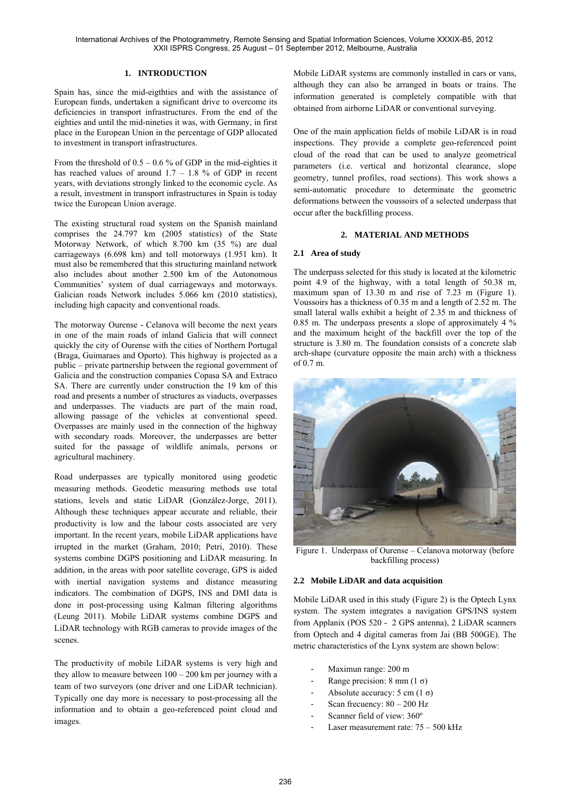International Archives of the Photogrammetry, Remote Sensing and Spatial Information Sciences, Volume XXXIX-B5, 2012 XXII ISPRS Congress, 25 August – 01 September 2012, Melbourne, Australia

#### **1. INTRODUCTION**

Spain has, since the mid-eigthties and with the assistance of European funds, undertaken a significant drive to overcome its deficiencies in transport infrastructures. From the end of the eighties and until the mid-nineties it was, with Germany, in first place in the European Union in the percentage of GDP allocated to investment in transport infrastructures.

From the threshold of  $0.5 - 0.6$  % of GDP in the mid-eighties it has reached values of around  $1.7 - 1.8$  % of GDP in recent years, with deviations strongly linked to the economic cycle. As a result, investment in transport infrastructures in Spain is today twice the European Union average.

The existing structural road system on the Spanish mainland comprises the 24.797 km (2005 statistics) of the State Motorway Network, of which 8.700 km (35 %) are dual carriageways (6.698 km) and toll motorways (1.951 km). It must also be remembered that this structuring mainland network also includes about another 2.500 km of the Autonomous Communities' system of dual carriageways and motorways. Galician roads Network includes 5.066 km (2010 statistics), including high capacity and conventional roads.

The motorway Ourense - Celanova will become the next years in one of the main roads of inland Galicia that will connect quickly the city of Ourense with the cities of Northern Portugal (Braga, Guimaraes and Oporto). This highway is projected as a public – private partnership between the regional government of Galicia and the construction companies Copasa SA and Extraco SA. There are currently under construction the 19 km of this road and presents a number of structures as viaducts, overpasses and underpasses. The viaducts are part of the main road, allowing passage of the vehicles at conventional speed. Overpasses are mainly used in the connection of the highway with secondary roads. Moreover, the underpasses are better suited for the passage of wildlife animals, persons or agricultural machinery.

Road underpasses are typically monitored using geodetic measuring methods. Geodetic measuring methods use total stations, levels and static LiDAR (González-Jorge, 2011). Although these techniques appear accurate and reliable, their productivity is low and the labour costs associated are very important. In the recent years, mobile LiDAR applications have irrupted in the market (Graham, 2010; Petri, 2010). These systems combine DGPS positioning and LiDAR measuring. In addition, in the areas with poor satellite coverage, GPS is aided with inertial navigation systems and distance measuring indicators. The combination of DGPS, INS and DMI data is done in post-processing using Kalman filtering algorithms (Leung 2011). Mobile LiDAR systems combine DGPS and LiDAR technology with RGB cameras to provide images of the scenes.

The productivity of mobile LiDAR systems is very high and they allow to measure between  $100 - 200$  km per journey with a team of two surveyors (one driver and one LiDAR technician). Typically one day more is necessary to post-processing all the information and to obtain a geo-referenced point cloud and images.

Mobile LiDAR systems are commonly installed in cars or vans, although they can also be arranged in boats or trains. The information generated is completely compatible with that obtained from airborne LiDAR or conventional surveying.

One of the main application fields of mobile LiDAR is in road inspections. They provide a complete geo-referenced point cloud of the road that can be used to analyze geometrical parameters (i.e. vertical and horizontal clearance, slope geometry, tunnel profiles, road sections). This work shows a semi-automatic procedure to determinate the geometric deformations between the voussoirs of a selected underpass that occur after the backfilling process.

#### **2. MATERIAL AND METHODS**

#### **2.1 Area of study**

The underpass selected for this study is located at the kilometric point 4.9 of the highway, with a total length of 50.38 m, maximum span of 13.30 m and rise of 7.23 m (Figure 1). Voussoirs has a thickness of 0.35 m and a length of 2.52 m. The small lateral walls exhibit a height of 2.35 m and thickness of 0.85 m. The underpass presents a slope of approximately 4 % and the maximum height of the backfill over the top of the structure is 3.80 m. The foundation consists of a concrete slab arch-shape (curvature opposite the main arch) with a thickness of 0.7 m.



Figure 1. Underpass of Ourense – Celanova motorway (before backfilling process)

## **2.2 Mobile LiDAR and data acquisition**

Mobile LiDAR used in this study (Figure 2) is the Optech Lynx system. The system integrates a navigation GPS/INS system from Applanix (POS 520 - 2 GPS antenna), 2 LiDAR scanners from Optech and 4 digital cameras from Jai (BB 500GE). The metric characteristics of the Lynx system are shown below:

- Maximun range: 200 m
- Range precision: 8 mm (1  $\sigma$ )
- Absolute accuracy: 5 cm  $(1 \sigma)$
- Scan frecuency:  $80 200$  Hz
- Scanner field of view: 360°
- Laser measurement rate:  $75 500$  kHz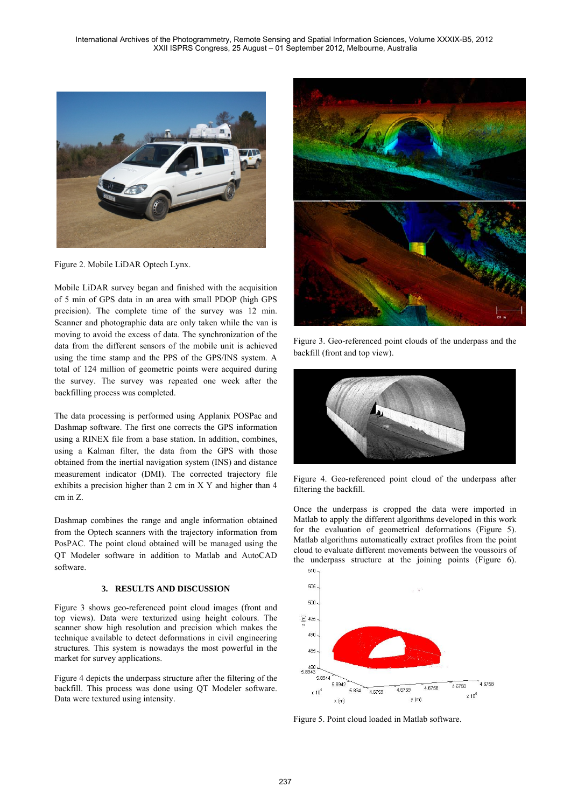

Figure 2. Mobile LiDAR Optech Lynx.

Mobile LiDAR survey began and finished with the acquisition of 5 min of GPS data in an area with small PDOP (high GPS precision). The complete time of the survey was 12 min. Scanner and photographic data are only taken while the van is moving to avoid the excess of data. The synchronization of the data from the different sensors of the mobile unit is achieved using the time stamp and the PPS of the GPS/INS system. A total of 124 million of geometric points were acquired during the survey. The survey was repeated one week after the backfilling process was completed.

The data processing is performed using Applanix POSPac and Dashmap software. The first one corrects the GPS information using a RINEX file from a base station. In addition, combines, using a Kalman filter, the data from the GPS with those obtained from the inertial navigation system (INS) and distance measurement indicator (DMI). The corrected trajectory file exhibits a precision higher than 2 cm in X Y and higher than 4 cm in Z.

Dashmap combines the range and angle information obtained from the Optech scanners with the trajectory information from PosPAC. The point cloud obtained will be managed using the QT Modeler software in addition to Matlab and AutoCAD software.

# **3. RESULTS AND DISCUSSION**

Figure 3 shows geo-referenced point cloud images (front and top views). Data were texturized using height colours. The scanner show high resolution and precision which makes the technique available to detect deformations in civil engineering structures. This system is nowadays the most powerful in the market for survey applications.

Figure 4 depicts the underpass structure after the filtering of the backfill. This process was done using QT Modeler software. Data were textured using intensity.



Figure 3. Geo-referenced point clouds of the underpass and the backfill (front and top view).



Figure 4. Geo-referenced point cloud of the underpass after filtering the backfill.

Once the underpass is cropped the data were imported in Matlab to apply the different algorithms developed in this work for the evaluation of geometrical deformations (Figure 5). Matlab algorithms automatically extract profiles from the point cloud to evaluate different movements between the voussoirs of the underpass structure at the joining points (Figure 6).



Figure 5. Point cloud loaded in Matlab software.